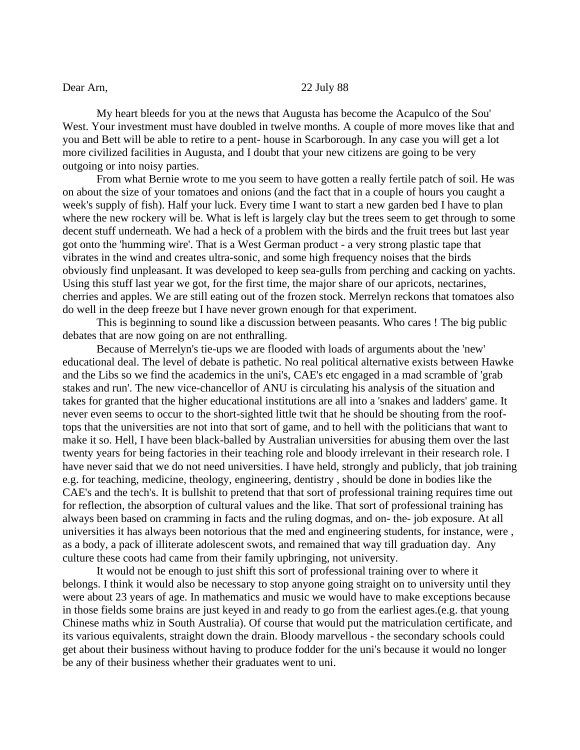## Dear Arn, 22 July 88

My heart bleeds for you at the news that Augusta has become the Acapulco of the Sou' West. Your investment must have doubled in twelve months. A couple of more moves like that and you and Bett will be able to retire to a pent- house in Scarborough. In any case you will get a lot more civilized facilities in Augusta, and I doubt that your new citizens are going to be very outgoing or into noisy parties.

From what Bernie wrote to me you seem to have gotten a really fertile patch of soil. He was on about the size of your tomatoes and onions (and the fact that in a couple of hours you caught a week's supply of fish). Half your luck. Every time I want to start a new garden bed I have to plan where the new rockery will be. What is left is largely clay but the trees seem to get through to some decent stuff underneath. We had a heck of a problem with the birds and the fruit trees but last year got onto the 'humming wire'. That is a West German product - a very strong plastic tape that vibrates in the wind and creates ultra-sonic, and some high frequency noises that the birds obviously find unpleasant. It was developed to keep sea-gulls from perching and cacking on yachts. Using this stuff last year we got, for the first time, the major share of our apricots, nectarines, cherries and apples. We are still eating out of the frozen stock. Merrelyn reckons that tomatoes also do well in the deep freeze but I have never grown enough for that experiment.

This is beginning to sound like a discussion between peasants. Who cares ! The big public debates that are now going on are not enthralling.

Because of Merrelyn's tie-ups we are flooded with loads of arguments about the 'new' educational deal. The level of debate is pathetic. No real political alternative exists between Hawke and the Libs so we find the academics in the uni's, CAE's etc engaged in a mad scramble of 'grab stakes and run'. The new vice-chancellor of ANU is circulating his analysis of the situation and takes for granted that the higher educational institutions are all into a 'snakes and ladders' game. It never even seems to occur to the short-sighted little twit that he should be shouting from the rooftops that the universities are not into that sort of game, and to hell with the politicians that want to make it so. Hell, I have been black-balled by Australian universities for abusing them over the last twenty years for being factories in their teaching role and bloody irrelevant in their research role. I have never said that we do not need universities. I have held, strongly and publicly, that job training e.g. for teaching, medicine, theology, engineering, dentistry , should be done in bodies like the CAE's and the tech's. It is bullshit to pretend that that sort of professional training requires time out for reflection, the absorption of cultural values and the like. That sort of professional training has always been based on cramming in facts and the ruling dogmas, and on- the- job exposure. At all universities it has always been notorious that the med and engineering students, for instance, were , as a body, a pack of illiterate adolescent swots, and remained that way till graduation day. Any culture these coots had came from their family upbringing, not university.

It would not be enough to just shift this sort of professional training over to where it belongs. I think it would also be necessary to stop anyone going straight on to university until they were about 23 years of age. In mathematics and music we would have to make exceptions because in those fields some brains are just keyed in and ready to go from the earliest ages.(e.g. that young Chinese maths whiz in South Australia). Of course that would put the matriculation certificate, and its various equivalents, straight down the drain. Bloody marvellous - the secondary schools could get about their business without having to produce fodder for the uni's because it would no longer be any of their business whether their graduates went to uni.